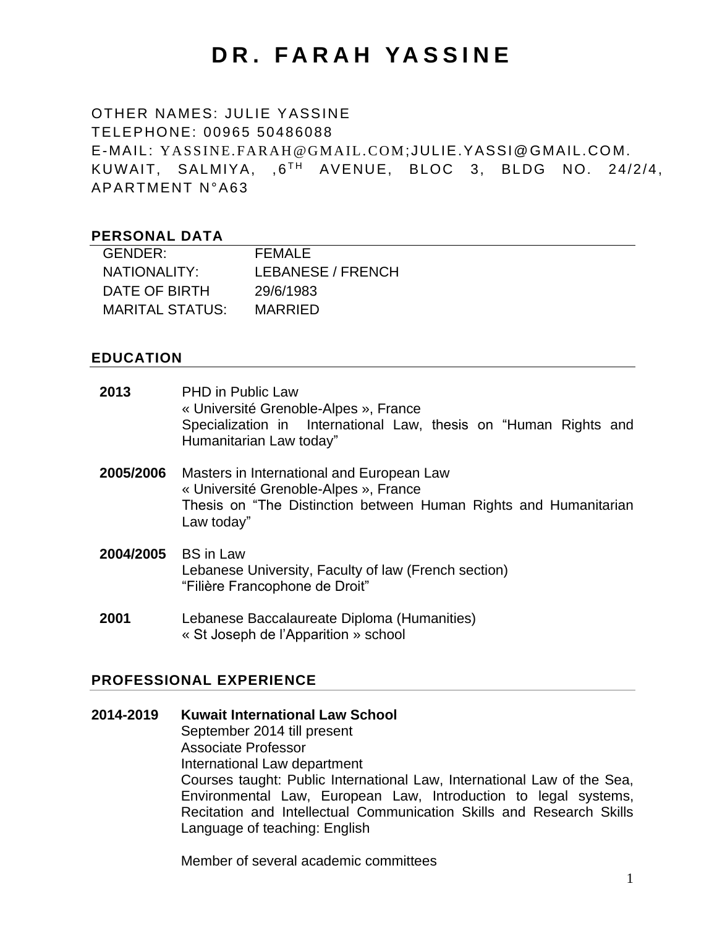# **D R . F A R A H YA S S I N E**

## OTHER NAMES: JULIE YASSINE TELEPHONE: 00965 50486088 E-MAIL: [YA SS IN E. FA RA H @G MA IL .C OM](mailto:yassine.farah@gmail.com);JULIE.YASSI@GMAIL.CO M. KUWAIT, SALMIYA, ,6<sup>th</sup> AVENUE, BLOC 3, BLDG NO. 24/2/4, APARTMENT N°A63

#### **PERSONAL DATA**

| GENDER:         | FFMAI F           |
|-----------------|-------------------|
| NATIONALITY:    | LEBANESE / FRENCH |
| DATE OF BIRTH   | 29/6/1983         |
| MARITAL STATUS: | MARRIFD           |

#### **EDUCATION**

| 2013      | <b>PHD</b> in Public Law<br>« Université Grenoble-Alpes », France<br>Specialization in International Law, thesis on "Human Rights and<br>Humanitarian Law today"     |
|-----------|----------------------------------------------------------------------------------------------------------------------------------------------------------------------|
| 2005/2006 | Masters in International and European Law<br>« Université Grenoble-Alpes », France<br>Thesis on "The Distinction between Human Rights and Humanitarian<br>Law today" |
| 2004/2005 | <b>BS</b> in Law<br>Lebanese University, Faculty of law (French section)<br>"Filière Francophone de Droit"                                                           |
| 2001      | Lebanese Baccalaureate Diploma (Humanities)<br>« St Joseph de l'Apparition » school                                                                                  |

#### **PROFESSIONAL EXPERIENCE**

**2014-2019 Kuwait International Law School** September 2014 till present Associate Professor International Law department Courses taught: Public International Law, International Law of the Sea, Environmental Law, European Law, Introduction to legal systems, Recitation and Intellectual Communication Skills and Research Skills Language of teaching: English

Member of several academic committees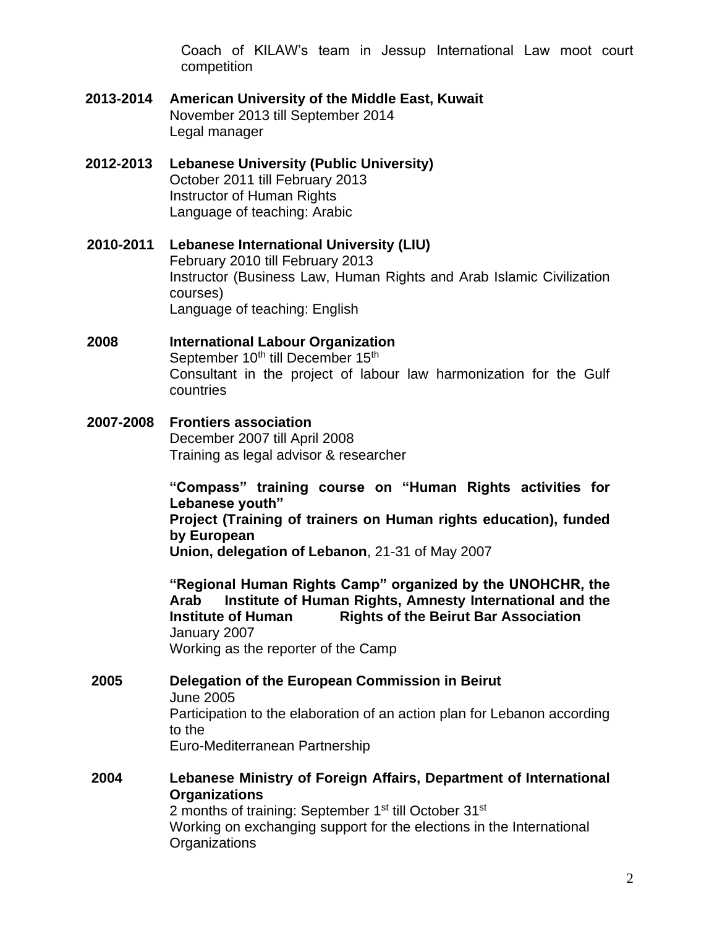Coach of KILAW's team in Jessup International Law moot court competition

- **2013-2014 American University of the Middle East, Kuwait** November 2013 till September 2014 Legal manager
- **2012-2013 Lebanese University (Public University)** October 2011 till February 2013 Instructor of Human Rights Language of teaching: Arabic
- **2010-2011 Lebanese International University (LIU)** February 2010 till February 2013 Instructor (Business Law, Human Rights and Arab Islamic Civilization courses) Language of teaching: English
- **2008 International Labour Organization** September 10<sup>th</sup> till December 15<sup>th</sup> Consultant in the project of labour law harmonization for the Gulf countries
- **2007-2008 Frontiers association**  December 2007 till April 2008 Training as legal advisor & researcher

**"Compass" training course on "Human Rights activities for Lebanese youth" Project (Training of trainers on Human rights education), funded by European Union, delegation of Lebanon**, 21-31 of May 2007

**"Regional Human Rights Camp" organized by the UNOHCHR, the Arab Institute of Human Rights, Amnesty International and the Institute of Human Rights of the Beirut Bar Association** January 2007 Working as the reporter of the Camp

- **2005 Delegation of the European Commission in Beirut** June 2005 Participation to the elaboration of an action plan for Lebanon according to the Euro-Mediterranean Partnership
- **2004 Lebanese Ministry of Foreign Affairs, Department of International Organizations** 2 months of training: September 1<sup>st</sup> till October 31<sup>st</sup> Working on exchanging support for the elections in the International **Organizations**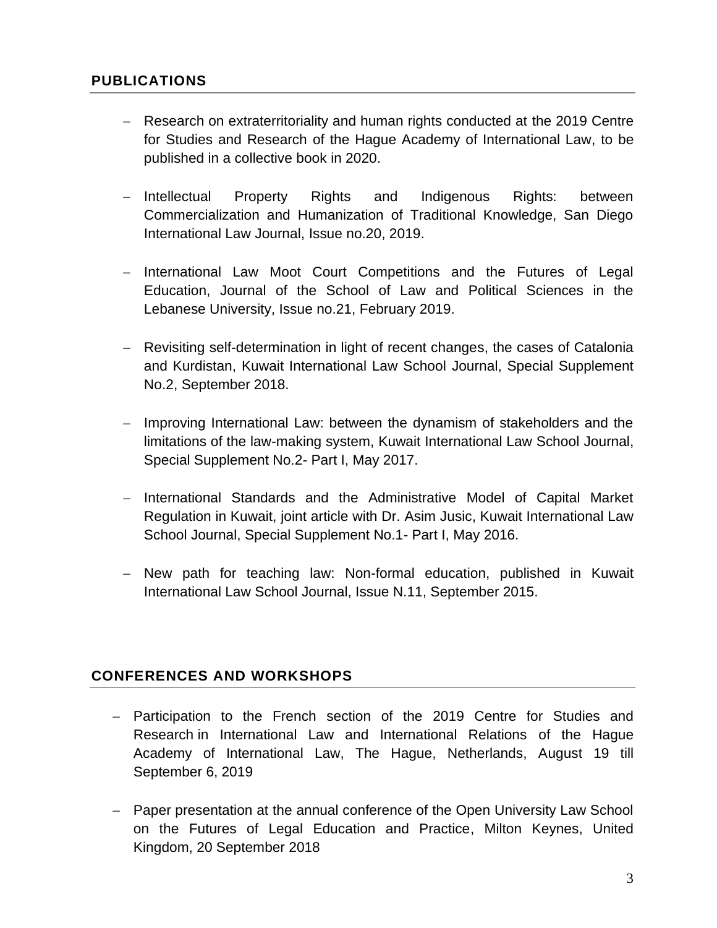## **PUBLICATIONS**

- − Research on extraterritoriality and human rights conducted at the 2019 Centre for Studies and Research of the Hague Academy of International Law, to be published in a collective book in 2020.
- − Intellectual Property Rights and Indigenous Rights: between Commercialization and Humanization of Traditional Knowledge, San Diego International Law Journal, Issue no.20, 2019.
- − International Law Moot Court Competitions and the Futures of Legal Education, Journal of the School of Law and Political Sciences in the Lebanese University, Issue no.21, February 2019.
- − Revisiting self-determination in light of recent changes, the cases of Catalonia and Kurdistan, Kuwait International Law School Journal, Special Supplement No.2, September 2018.
- − Improving International Law: between the dynamism of stakeholders and the limitations of the law-making system, Kuwait International Law School Journal, Special Supplement No.2- Part I, May 2017.
- − International Standards and the Administrative Model of Capital Market Regulation in Kuwait, joint article with Dr. Asim Jusic, Kuwait International Law School Journal, Special Supplement No.1- Part I, May 2016.
- − New path for teaching law: Non-formal education, published in Kuwait International Law School Journal, Issue N.11, September 2015.

### **CONFERENCES AND WORKSHOPS**

- − Participation to the French section of the 2019 Centre for Studies and Research in International Law and International Relations of the Hague Academy of International Law, The Hague, Netherlands, August 19 till September 6, 2019
- − Paper presentation at the annual conference of the Open University Law School on the Futures of Legal Education and Practice, Milton Keynes, United Kingdom, 20 September 2018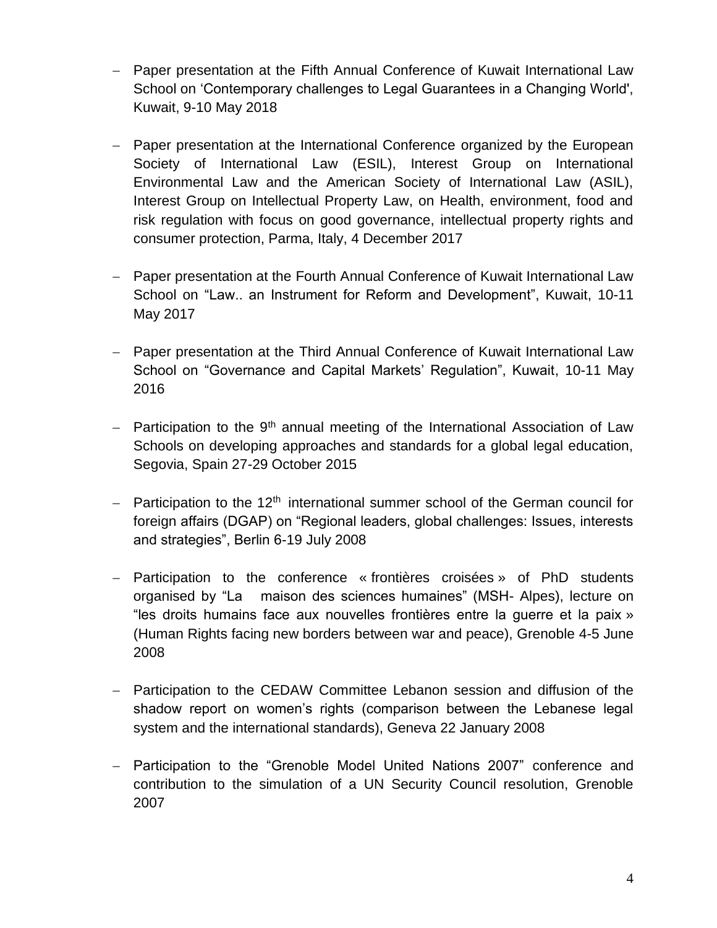- − Paper presentation at the Fifth Annual Conference of Kuwait International Law School on 'Contemporary challenges to Legal Guarantees in a Changing World', Kuwait, 9-10 May 2018
- Paper presentation at the International Conference organized by the European Society of International Law (ESIL), Interest Group on International Environmental Law and the American Society of International Law (ASIL), Interest Group on Intellectual Property Law, on Health, environment, food and risk regulation with focus on good governance, intellectual property rights and consumer protection, Parma, Italy, 4 December 2017
- − Paper presentation at the Fourth Annual Conference of Kuwait International Law School on "Law.. an Instrument for Reform and Development", Kuwait, 10-11 May 2017
- − Paper presentation at the Third Annual Conference of Kuwait International Law School on "Governance and Capital Markets' Regulation", Kuwait, 10-11 May 2016
- − Participation to the 9<sup>th</sup> annual meeting of the International Association of Law Schools on developing approaches and standards for a global legal education, Segovia, Spain 27-29 October 2015
- − Participation to the 12<sup>th</sup> international summer school of the German council for foreign affairs (DGAP) on "Regional leaders, global challenges: Issues, interests and strategies", Berlin 6-19 July 2008
- − Participation to the conference « frontières croisées » of PhD students organised by "La maison des sciences humaines" (MSH- Alpes), lecture on "les droits humains face aux nouvelles frontières entre la guerre et la paix » (Human Rights facing new borders between war and peace), Grenoble 4-5 June 2008
- − Participation to the CEDAW Committee Lebanon session and diffusion of the shadow report on women's rights (comparison between the Lebanese legal system and the international standards), Geneva 22 January 2008
- − Participation to the "Grenoble Model United Nations 2007" conference and contribution to the simulation of a UN Security Council resolution, Grenoble 2007